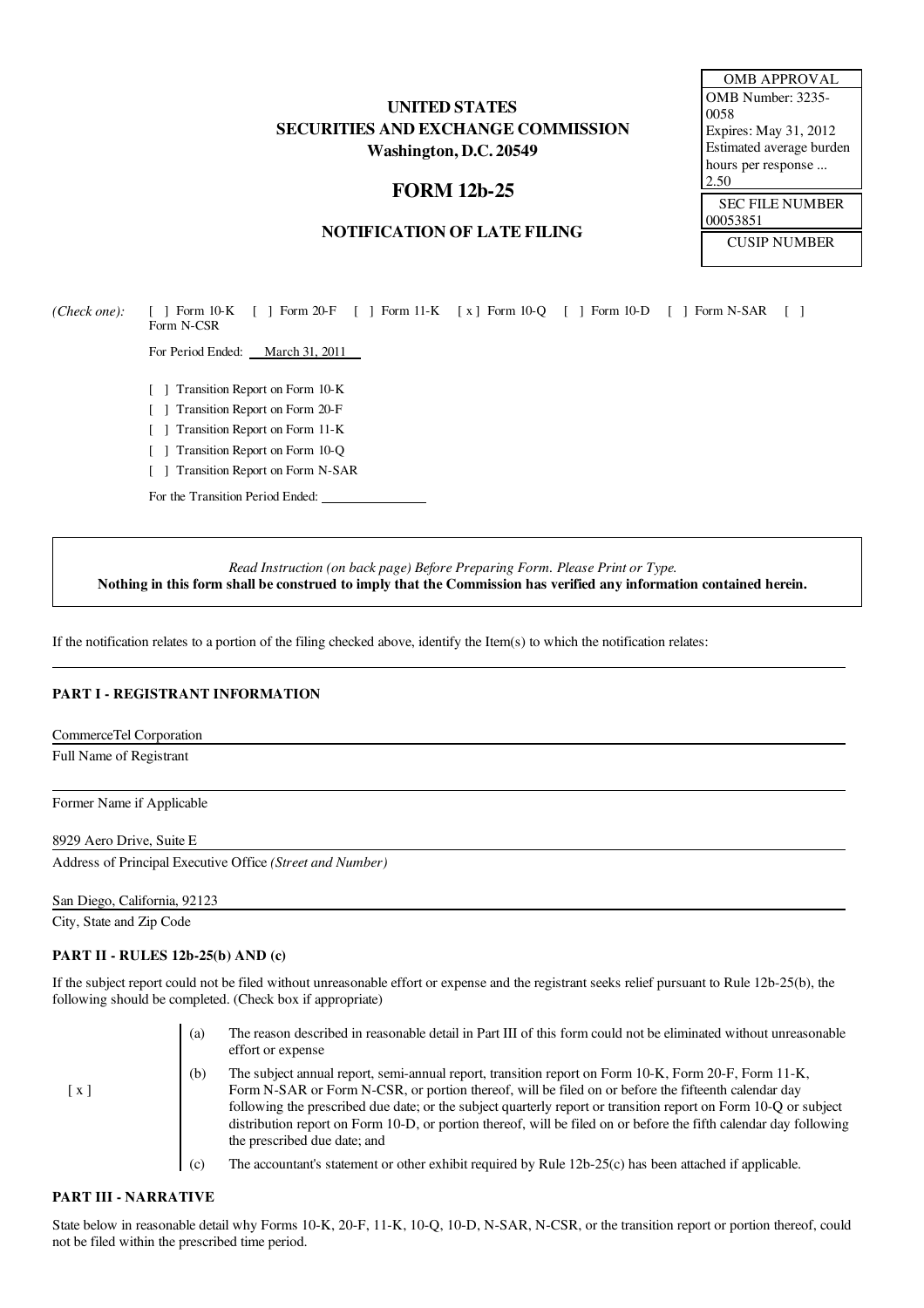# UNITED STATES SECURITIES AND EXCHANGE COMMISSION Washington, D.C. 20549

# FORM 12b-25

## NOTIFICATION OF LATE FILING

*(Check one):* [ ] Form 10-K [ ] Form 20-F [ ] Form 11-K [ x ] Form 10-Q [ ] Form 10-D [ ] Form N-SAR [ ] Form N-CSR

For Period Ended: March 31, 2011

- [ ] Transition Report on Form 10-K
- [ ] Transition Report on Form 20-F
- [ ] Transition Report on Form 11-K
- [ ] Transition Report on Form 10-Q
- [ ] Transition Report on Form N-SAR

For the Transition Period Ended:

*Read Instruction (on back page) Before Preparing Form. Please Print or Type.* Nothing in this form shall be construed to imply that the Commission has verified any information contained herein.

If the notification relates to a portion of the filing checked above, identify the Item(s) to which the notification relates:

### PART I - REGISTRANT INFORMATION

CommerceTel Corporation

Full Name of Registrant

Former Name if Applicable

#### 8929 Aero Drive, Suite E

Address of Principal Executive Office *(Street and Number)*

San Diego, California, 92123

City, State and Zip Code

#### PART II - RULES 12b-25(b) AND (c)

If the subject report could not be filed without unreasonable effort or expense and the registrant seeks relief pursuant to Rule 12b-25(b), the following should be completed. (Check box if appropriate)

|                   | (a) | The reason described in reasonable detail in Part III of this form could not be eliminated without unreasonable<br>effort or expense                                                                                                                                                                                                                                                                                                                                                |
|-------------------|-----|-------------------------------------------------------------------------------------------------------------------------------------------------------------------------------------------------------------------------------------------------------------------------------------------------------------------------------------------------------------------------------------------------------------------------------------------------------------------------------------|
| $\lceil x \rceil$ | (b) | The subject annual report, semi-annual report, transition report on Form 10-K, Form 20-F, Form 11-K,<br>Form N-SAR or Form N-CSR, or portion thereof, will be filed on or before the fifteenth calendar day<br>following the prescribed due date; or the subject quarterly report or transition report on Form 10-Q or subject<br>distribution report on Form 10-D, or portion thereof, will be filed on or before the fifth calendar day following<br>the prescribed due date; and |
|                   | (c) | The accountant's statement or other exhibit required by Rule 12b-25(c) has been attached if applicable.                                                                                                                                                                                                                                                                                                                                                                             |

### PART III - NARRATIVE

State below in reasonable detail why Forms 10-K, 20-F, 11-K, 10-Q, 10-D, N-SAR, N-CSR, or the transition report or portion thereof, could not be filed within the prescribed time period.

| <b>OMB APPROVAL</b>      |
|--------------------------|
| OMB Number: 3235-        |
| 0058                     |
| Expires: May 31, 2012    |
| Estimated average burden |
| hours per response       |
| 2.50                     |
| <b>SEC EILE NI IMBER</b> |
|                          |

SEC FILE NUMBER 00053851 CUSIP NUMBER